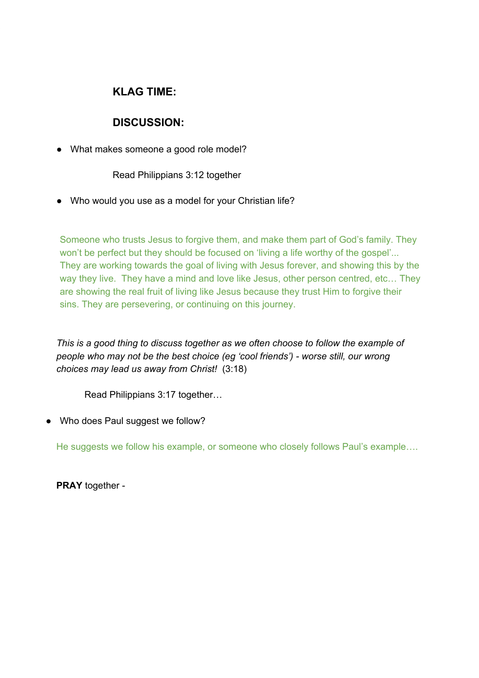## **KLAG TIME:**

## **DISCUSSION:**

• What makes someone a good role model?

Read Philippians 3:12 together

● Who would you use as a model for your Christian life?

Someone who trusts Jesus to forgive them, and make them part of God's family. They won't be perfect but they should be focused on 'living a life worthy of the gospel'... They are working towards the goal of living with Jesus forever, and showing this by the way they live. They have a mind and love like Jesus, other person centred, etc… They are showing the real fruit of living like Jesus because they trust Him to forgive their sins. They are persevering, or continuing on this journey.

*This is a good thing to discuss together as we often choose to follow the example of people who may not be the best choice (eg 'cool friends') - worse still, our wrong choices may lead us away from Christ!* (3:18)

Read Philippians 3:17 together…

• Who does Paul suggest we follow?

He suggests we follow his example, or someone who closely follows Paul's example….

**PRAY** together -